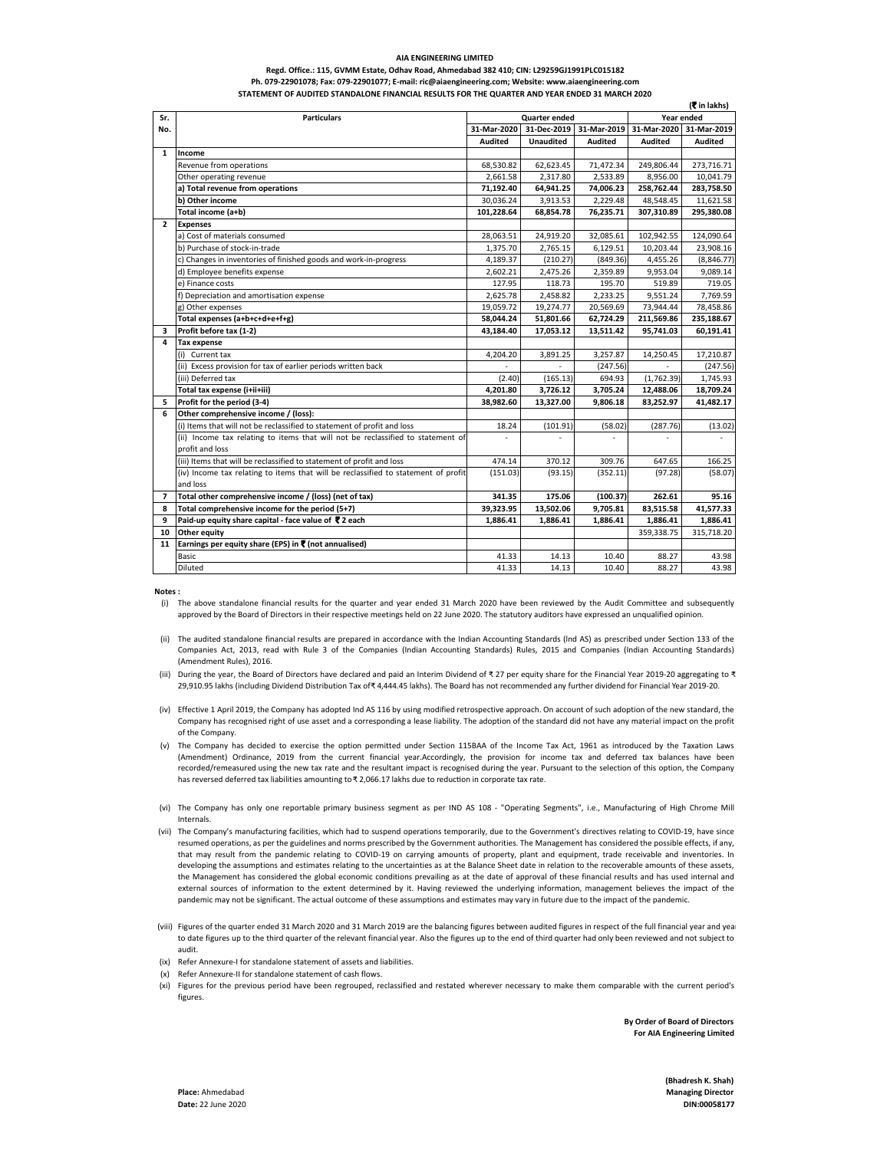#### **Regd. Office.: 115, GVMM Estate, Odhav Road, Ahmedabad 382 410; CIN: L29259GJ1991PLC015182 Ph. 079-22901078; Fax: 079-22901077; E-mail: ric@aiaengineering.com; Website: www.aiaengineering.com STATEMENT OF AUDITED STANDALONE FINANCIAL RESULTS FOR THE QUARTER AND YEAR ENDED 31 MARCH 2020**

| Sr.            | <b>Particulars</b>                                                                 | Quarter ended                             |                  |                |                | (х іп іакпэ)<br>Year ended |  |
|----------------|------------------------------------------------------------------------------------|-------------------------------------------|------------------|----------------|----------------|----------------------------|--|
| No.            |                                                                                    | 31-Dec-2019<br>31-Mar-2020<br>31-Mar-2019 |                  |                | 31-Mar-2020    | 31-Mar-2019                |  |
|                |                                                                                    | <b>Audited</b>                            | <b>Unaudited</b> | <b>Audited</b> | <b>Audited</b> | <b>Audited</b>             |  |
| $\mathbf{1}$   | Income                                                                             |                                           |                  |                |                |                            |  |
|                | Revenue from operations                                                            | 68,530.82                                 | 62,623.45        | 71,472.34      | 249,806.44     | 273,716.71                 |  |
|                | Other operating revenue                                                            | 2,661.58                                  | 2,317.80         | 2,533.89       | 8,956.00       | 10,041.79                  |  |
|                | a) Total revenue from operations                                                   | 71,192.40                                 | 64,941.25        | 74,006.23      | 258,762.44     | 283,758.50                 |  |
|                | b) Other income                                                                    | 30,036.24                                 | 3,913.53         | 2,229.48       | 48,548.45      | 11,621.58                  |  |
|                | Total income (a+b)                                                                 | 101,228.64                                | 68,854.78        | 76,235.71      | 307,310.89     | 295,380.08                 |  |
| $\overline{2}$ | <b>Expenses</b>                                                                    |                                           |                  |                |                |                            |  |
|                | a) Cost of materials consumed                                                      | 28,063.51                                 | 24,919.20        | 32,085.61      | 102,942.55     | 124,090.64                 |  |
|                | b) Purchase of stock-in-trade                                                      | 1,375.70                                  | 2,765.15         | 6,129.51       | 10,203.44      | 23,908.16                  |  |
|                | c) Changes in inventories of finished goods and work-in-progress                   | 4,189.37                                  | (210.27)         | (849.36)       | 4,455.26       | (8,846.77)                 |  |
|                | d) Employee benefits expense                                                       | 2,602.21                                  | 2,475.26         | 2,359.89       | 9,953.04       | 9,089.14                   |  |
|                | e) Finance costs                                                                   | 127.95                                    | 118.73           | 195.70         | 519.89         | 719.05                     |  |
|                | Depreciation and amortisation expense                                              | 2,625.78                                  | 2,458.82         | 2,233.25       | 9,551.24       | 7,769.59                   |  |
|                | g) Other expenses                                                                  | 19,059.72                                 | 19,274.77        | 20,569.69      | 73,944.44      | 78,458.86                  |  |
|                | Total expenses (a+b+c+d+e+f+g)                                                     | 58,044.24                                 | 51,801.66        | 62,724.29      | 211,569.86     | 235,188.67                 |  |
| з              | Profit before tax (1-2)                                                            | 43,184.40                                 | 17,053.12        | 13,511.42      | 95,741.03      | 60,191.41                  |  |
| 4              | <b>Tax expense</b>                                                                 |                                           |                  |                |                |                            |  |
|                | (i) Current tax                                                                    | 4,204.20                                  | 3,891.25         | 3,257.87       | 14,250.45      | 17,210.87                  |  |
|                | (ii) Excess provision for tax of earlier periods written back                      |                                           |                  | (247.56)       |                | (247.56)                   |  |
|                | (iii) Deferred tax                                                                 | (2.40)                                    | (165.13)         | 694.93         | (1,762.39)     | 1,745.93                   |  |
|                | Total tax expense (i+ii+iii)                                                       | 4,201.80                                  | 3,726.12         | 3,705.24       | 12,488.06      | 18,709.24                  |  |
| 5              | Profit for the period (3-4)                                                        | 38,982.60                                 | 13,327.00        | 9,806.18       | 83,252.97      | 41,482.17                  |  |
| 6              | Other comprehensive income / (loss):                                               |                                           |                  |                |                |                            |  |
|                | (i) Items that will not be reclassified to statement of profit and loss            | 18.24                                     | (101.91)         | (58.02)        | (287.76)       | (13.02)                    |  |
|                | (ii) Income tax relating to items that will not be reclassified to statement of    |                                           |                  |                |                |                            |  |
|                | profit and loss                                                                    |                                           |                  |                |                |                            |  |
|                | (iii) Items that will be reclassified to statement of profit and loss              | 474.14                                    | 370.12           | 309.76         | 647.65         | 166.25                     |  |
|                | (iv) Income tax relating to items that will be reclassified to statement of profit | (151.03)                                  | (93.15)          | (352.11)       | (97.28)        | (58.07)                    |  |
|                | and loss                                                                           |                                           |                  |                |                |                            |  |
| 7              | Total other comprehensive income / (loss) (net of tax)                             | 341.35                                    | 175.06           | (100.37)       | 262.61         | 95.16                      |  |
| 8              | Total comprehensive income for the period (5+7)                                    | 39,323.95                                 | 13,502.06        | 9,705.81       | 83,515.58      | 41,577.33                  |  |
| 9              | Paid-up equity share capital - face value of ₹ 2 each                              | 1,886.41                                  | 1,886.41         | 1,886.41       | 1,886.41       | 1,886.41                   |  |
| 10             | Other equity                                                                       |                                           |                  |                | 359,338.75     | 315,718.20                 |  |
| 11             | Earnings per equity share (EPS) in ₹ (not annualised)                              |                                           |                  |                |                |                            |  |
|                | Basic                                                                              | 41.33                                     | 14.13            | 10.40          | 88.27          | 43.98                      |  |
|                | Diluted                                                                            | 41.33                                     | 14.13            | 10.40          | 88.27          | 43.98                      |  |

**Notes :**

- (i) The above standalone financial results for the quarter and year ended 31 March 2020 have been reviewed by the Audit Committee and subsequently approved by the Board of Directors in their respective meetings held on 22 June 2020. The statutory auditors have expressed an unqualified opinion.
- (ii) The audited standalone financial results are prepared in accordance with the Indian Accounting Standards (lnd AS) as prescribed under Section 133 of the Companies Act, 2013, read with Rule 3 of the Companies (Indian Accounting Standards) Rules, 2015 and Companies (Indian Accounting Standards) (Amendment Rules), 2016.
- (iii) During the year, the Board of Directors have declared and paid an Interim Dividend of ₹ 27 per equity share for the Financial Year 2019-20 aggregating to ₹ 29,910.95 lakhs (including Dividend Distribution Tax of ₹4,444.45 lakhs). The Board has not recommended any further dividend for Financial Year 2019-20.
- (iv) Effective 1 April 2019, the Company has adopted Ind AS 116 by using modified retrospective approach. On account of such adoption of the new standard, the Company has recognised right of use asset and a corresponding a lease liability. The adoption of the standard did not have any material impact on the profit of the Company.
- (v) The Company has decided to exercise the option permitted under Section 115BAA of the Income Tax Act, 1961 as introduced by the Taxation Laws (Amendment) Ordinance, 2019 from the current financial year.Accordingly, the provision for income tax and deferred tax balances have been recorded/remeasured using the new tax rate and the resultant impact is recognised during the year. Pursuant to the selection of this option, the Company has reversed deferred tax liabilities amounting to ₹2,066.17 lakhs due to reduction in corporate tax rate.
- (vi) The Company has only one reportable primary business segment as per IND AS 108 "Operating Segments", i.e., Manufacturing of High Chrome Mill Internals.
- (vii) The Company's manufacturing facilities, which had to suspend operations temporarily, due to the Government's directives relating to COVID-19, have since resumed operations, as per the guidelines and norms prescribed by the Government authorities. The Management has considered the possible effects, if any, that may result from the pandemic relating to COVID-19 on carrying amounts of property, plant and equipment, trade receivable and inventories. In developing the assumptions and estimates relating to the uncertainties as at the Balance Sheet date in relation to the recoverable amounts of these assets, the Management has considered the global economic conditions prevailing as at the date of approval of these financial results and has used internal and external sources of information to the extent determined by it. Having reviewed the underlying information, management believes the impact of the pandemic may not be significant. The actual outcome of these assumptions and estimates may vary in future due to the impact of the pandemic.
- (viii) Figures of the quarter ended 31 March 2020 and 31 March 2019 are the balancing figures between audited figures in respect of the full financial year and year to date figures up to the third quarter of the relevant financial year. Also the figures up to the end of third quarter had only been reviewed and not subject to audit.
- (ix) Refer Annexure-I for standalone statement of assets and liabilities.
- (x) Refer Annexure-II for standalone statement of cash flows.
- (xi) Figures for the previous period have been regrouped, reclassified and restated wherever necessary to make them comparable with the current period's figures.

**By Order of Board of Directors For AIA Engineering Limited**

**(**` **in lakhs)**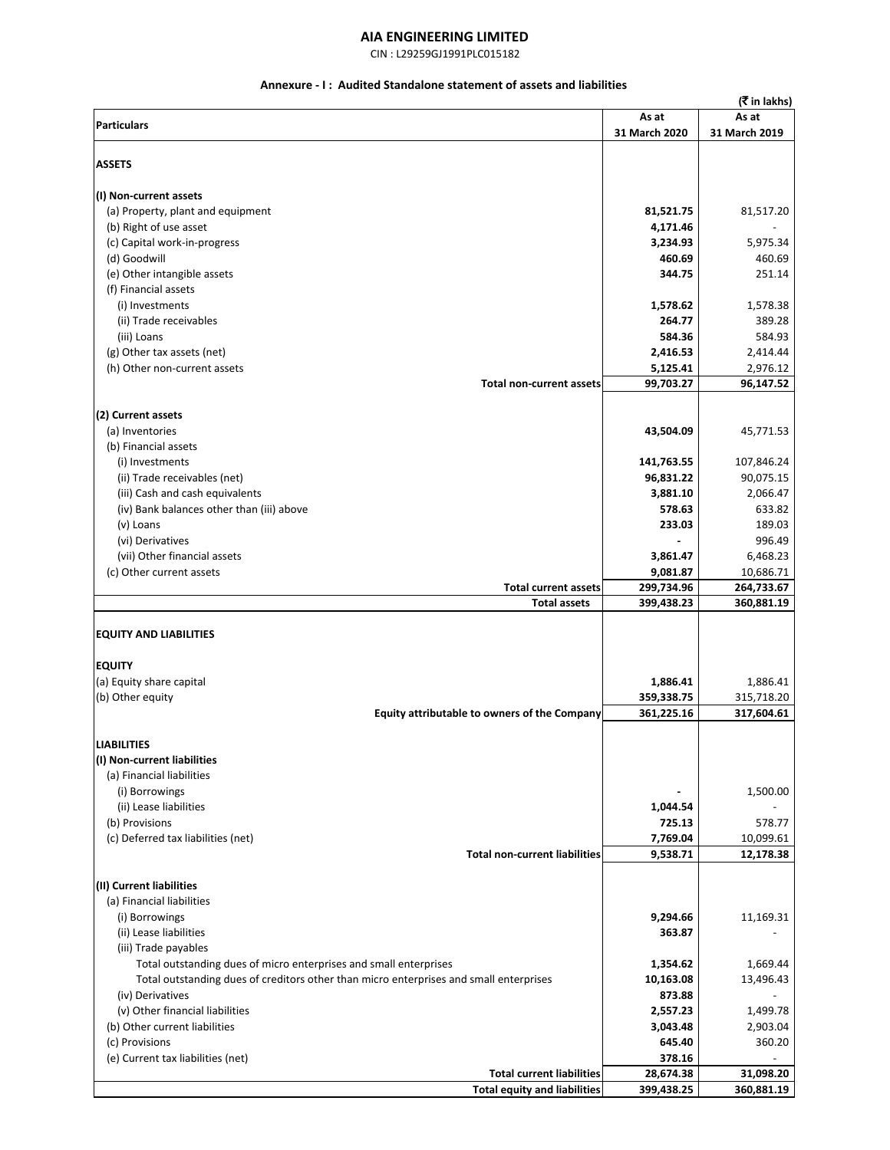CIN : L29259GJ1991PLC015182

## **Annexure - I : Audited Standalone statement of assets and liabilities**

| (₹ in lakhs)                                                                           |                      |                      |  |  |  |  |
|----------------------------------------------------------------------------------------|----------------------|----------------------|--|--|--|--|
|                                                                                        | As at                | As at                |  |  |  |  |
| <b>Particulars</b>                                                                     | 31 March 2020        | 31 March 2019        |  |  |  |  |
|                                                                                        |                      |                      |  |  |  |  |
| <b>ASSETS</b>                                                                          |                      |                      |  |  |  |  |
|                                                                                        |                      |                      |  |  |  |  |
| (I) Non-current assets                                                                 |                      |                      |  |  |  |  |
| (a) Property, plant and equipment                                                      | 81,521.75            | 81,517.20            |  |  |  |  |
| (b) Right of use asset                                                                 | 4,171.46             |                      |  |  |  |  |
| (c) Capital work-in-progress                                                           | 3,234.93             | 5,975.34             |  |  |  |  |
| (d) Goodwill                                                                           | 460.69               | 460.69               |  |  |  |  |
| (e) Other intangible assets                                                            | 344.75               | 251.14               |  |  |  |  |
| (f) Financial assets                                                                   |                      |                      |  |  |  |  |
| (i) Investments                                                                        | 1,578.62             | 1,578.38             |  |  |  |  |
| (ii) Trade receivables                                                                 | 264.77               | 389.28               |  |  |  |  |
| (iii) Loans                                                                            | 584.36               | 584.93               |  |  |  |  |
| (g) Other tax assets (net)<br>(h) Other non-current assets                             | 2,416.53<br>5,125.41 | 2,414.44<br>2,976.12 |  |  |  |  |
| Total non-current assets                                                               | 99,703.27            | 96,147.52            |  |  |  |  |
|                                                                                        |                      |                      |  |  |  |  |
| (2) Current assets                                                                     |                      |                      |  |  |  |  |
| (a) Inventories                                                                        | 43,504.09            | 45,771.53            |  |  |  |  |
| (b) Financial assets                                                                   |                      |                      |  |  |  |  |
| (i) Investments                                                                        | 141,763.55           | 107,846.24           |  |  |  |  |
| (ii) Trade receivables (net)                                                           | 96,831.22            | 90,075.15            |  |  |  |  |
| (iii) Cash and cash equivalents                                                        | 3,881.10             | 2,066.47             |  |  |  |  |
| (iv) Bank balances other than (iii) above                                              | 578.63               | 633.82               |  |  |  |  |
| (v) Loans                                                                              | 233.03               | 189.03               |  |  |  |  |
| (vi) Derivatives                                                                       |                      | 996.49               |  |  |  |  |
| (vii) Other financial assets                                                           | 3,861.47             | 6,468.23             |  |  |  |  |
| (c) Other current assets                                                               | 9,081.87             | 10,686.71            |  |  |  |  |
| <b>Total current assets</b>                                                            | 299,734.96           | 264,733.67           |  |  |  |  |
| <b>Total assets</b>                                                                    | 399,438.23           | 360,881.19           |  |  |  |  |
| <b>EQUITY AND LIABILITIES</b>                                                          |                      |                      |  |  |  |  |
| <b>EQUITY</b>                                                                          |                      |                      |  |  |  |  |
| (a) Equity share capital                                                               | 1,886.41             | 1,886.41             |  |  |  |  |
| (b) Other equity                                                                       | 359,338.75           | 315,718.20           |  |  |  |  |
| Equity attributable to owners of the Company                                           | 361,225.16           | 317,604.61           |  |  |  |  |
|                                                                                        |                      |                      |  |  |  |  |
| <b>LIABILITIES</b>                                                                     |                      |                      |  |  |  |  |
| (I) Non-current liabilities                                                            |                      |                      |  |  |  |  |
| (a) Financial liabilities                                                              |                      |                      |  |  |  |  |
| (i) Borrowings                                                                         |                      | 1,500.00             |  |  |  |  |
| (ii) Lease liabilities                                                                 | 1,044.54             |                      |  |  |  |  |
| (b) Provisions                                                                         | 725.13               | 578.77               |  |  |  |  |
| (c) Deferred tax liabilities (net)                                                     | 7,769.04             | 10,099.61            |  |  |  |  |
| <b>Total non-current liabilities</b>                                                   | 9,538.71             | 12,178.38            |  |  |  |  |
|                                                                                        |                      |                      |  |  |  |  |
| (II) Current liabilities                                                               |                      |                      |  |  |  |  |
| (a) Financial liabilities                                                              | 9,294.66             | 11,169.31            |  |  |  |  |
| (i) Borrowings<br>(ii) Lease liabilities                                               | 363.87               |                      |  |  |  |  |
| (iii) Trade payables                                                                   |                      |                      |  |  |  |  |
| Total outstanding dues of micro enterprises and small enterprises                      | 1,354.62             | 1,669.44             |  |  |  |  |
| Total outstanding dues of creditors other than micro enterprises and small enterprises | 10,163.08            | 13,496.43            |  |  |  |  |
| (iv) Derivatives                                                                       | 873.88               |                      |  |  |  |  |
| (v) Other financial liabilities                                                        | 2,557.23             | 1,499.78             |  |  |  |  |
| (b) Other current liabilities                                                          | 3,043.48             | 2,903.04             |  |  |  |  |
| (c) Provisions                                                                         | 645.40               | 360.20               |  |  |  |  |
| (e) Current tax liabilities (net)                                                      | 378.16               |                      |  |  |  |  |
| <b>Total current liabilities</b>                                                       | 28,674.38            | 31,098.20            |  |  |  |  |
| <b>Total equity and liabilities</b>                                                    | 399,438.25           | 360,881.19           |  |  |  |  |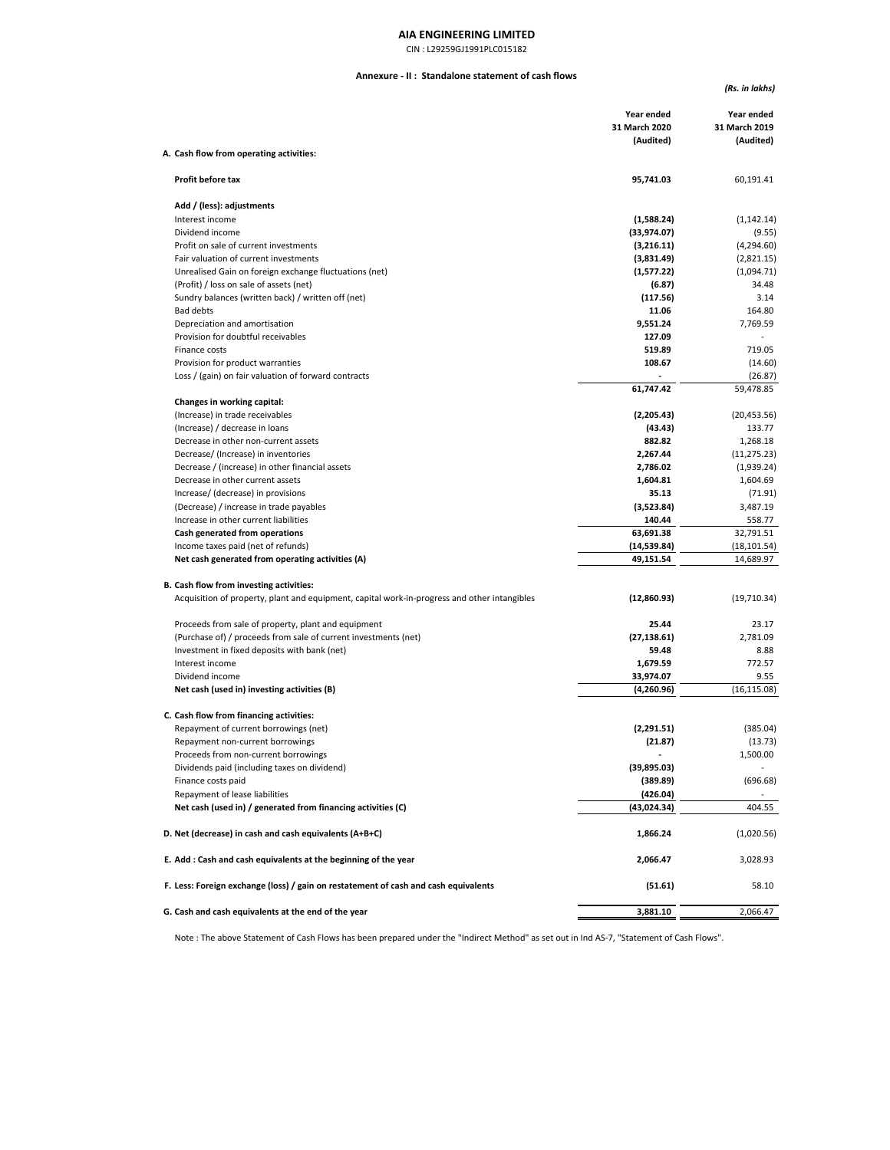CIN : L29259GJ1991PLC015182

#### **Annexure - II : Standalone statement of cash flows**

*(Rs. in lakhs)*

|                                                                                              | Year ended<br>31 March 2020<br>(Audited) | Year ended<br>31 March 2019<br>(Audited) |
|----------------------------------------------------------------------------------------------|------------------------------------------|------------------------------------------|
| A. Cash flow from operating activities:                                                      |                                          |                                          |
| Profit before tax                                                                            | 95,741.03                                | 60,191.41                                |
| Add / (less): adjustments                                                                    |                                          |                                          |
| Interest income                                                                              | (1,588.24)                               | (1, 142.14)                              |
| Dividend income                                                                              | (33,974.07)                              | (9.55)                                   |
| Profit on sale of current investments                                                        | (3,216.11)                               | (4,294.60)                               |
| Fair valuation of current investments                                                        | (3,831.49)                               | (2,821.15)                               |
| Unrealised Gain on foreign exchange fluctuations (net)                                       | (1,577.22)                               | (1,094.71)                               |
| (Profit) / loss on sale of assets (net)                                                      | (6.87)                                   | 34.48                                    |
| Sundry balances (written back) / written off (net)                                           | (117.56)                                 | 3.14                                     |
| <b>Bad debts</b>                                                                             | 11.06                                    | 164.80                                   |
| Depreciation and amortisation                                                                | 9,551.24                                 | 7,769.59                                 |
| Provision for doubtful receivables                                                           | 127.09                                   |                                          |
| Finance costs                                                                                | 519.89<br>108.67                         | 719.05                                   |
| Provision for product warranties<br>Loss / (gain) on fair valuation of forward contracts     |                                          | (14.60)                                  |
|                                                                                              | 61,747.42                                | (26.87)<br>59,478.85                     |
| Changes in working capital:                                                                  |                                          |                                          |
| (Increase) in trade receivables                                                              | (2,205.43)                               | (20, 453.56)                             |
| (Increase) / decrease in loans                                                               | (43.43)                                  | 133.77                                   |
| Decrease in other non-current assets                                                         | 882.82                                   | 1,268.18                                 |
| Decrease/ (Increase) in inventories                                                          | 2,267.44                                 | (11, 275.23)                             |
| Decrease / (increase) in other financial assets                                              | 2,786.02                                 | (1,939.24)                               |
| Decrease in other current assets                                                             | 1,604.81                                 | 1,604.69                                 |
| Increase/ (decrease) in provisions                                                           | 35.13                                    | (71.91)                                  |
| (Decrease) / increase in trade payables                                                      | (3,523.84)                               | 3,487.19                                 |
| Increase in other current liabilities                                                        | 140.44                                   | 558.77                                   |
| Cash generated from operations                                                               | 63,691.38                                | 32,791.51                                |
| Income taxes paid (net of refunds)                                                           | (14, 539.84)                             | (18, 101.54)                             |
| Net cash generated from operating activities (A)                                             | 49,151.54                                | 14,689.97                                |
| B. Cash flow from investing activities:                                                      |                                          |                                          |
| Acquisition of property, plant and equipment, capital work-in-progress and other intangibles | (12,860.93)                              | (19,710.34)                              |
| Proceeds from sale of property, plant and equipment                                          | 25.44                                    | 23.17                                    |
| (Purchase of) / proceeds from sale of current investments (net)                              | (27, 138.61)                             | 2,781.09                                 |
| Investment in fixed deposits with bank (net)                                                 | 59.48                                    | 8.88                                     |
| Interest income                                                                              | 1,679.59                                 | 772.57                                   |
| Dividend income                                                                              | 33,974.07                                | 9.55                                     |
| Net cash (used in) investing activities (B)                                                  | (4,260.96)                               | (16, 115.08)                             |
| C. Cash flow from financing activities:                                                      |                                          |                                          |
| Repayment of current borrowings (net)                                                        | (2,291.51)                               | (385.04)                                 |
| Repayment non-current borrowings                                                             | (21.87)                                  | (13.73)                                  |
| Proceeds from non-current borrowings                                                         |                                          | 1,500.00                                 |
| Dividends paid (including taxes on dividend)                                                 | (39,895.03)                              |                                          |
| Finance costs paid                                                                           | (389.89)                                 | (696.68)                                 |
| Repayment of lease liabilities                                                               | (426.04)                                 |                                          |
| Net cash (used in) / generated from financing activities (C)                                 | (43,024.34)                              | 404.55                                   |
| D. Net (decrease) in cash and cash equivalents (A+B+C)                                       | 1,866.24                                 | (1,020.56)                               |
| E. Add: Cash and cash equivalents at the beginning of the year                               | 2,066.47                                 | 3,028.93                                 |
| F. Less: Foreign exchange (loss) / gain on restatement of cash and cash equivalents          | (51.61)                                  | 58.10                                    |
| G. Cash and cash equivalents at the end of the year                                          | 3,881.10                                 | 2,066.47                                 |

Note : The above Statement of Cash Flows has been prepared under the "Indirect Method" as set out in Ind AS-7, "Statement of Cash Flows".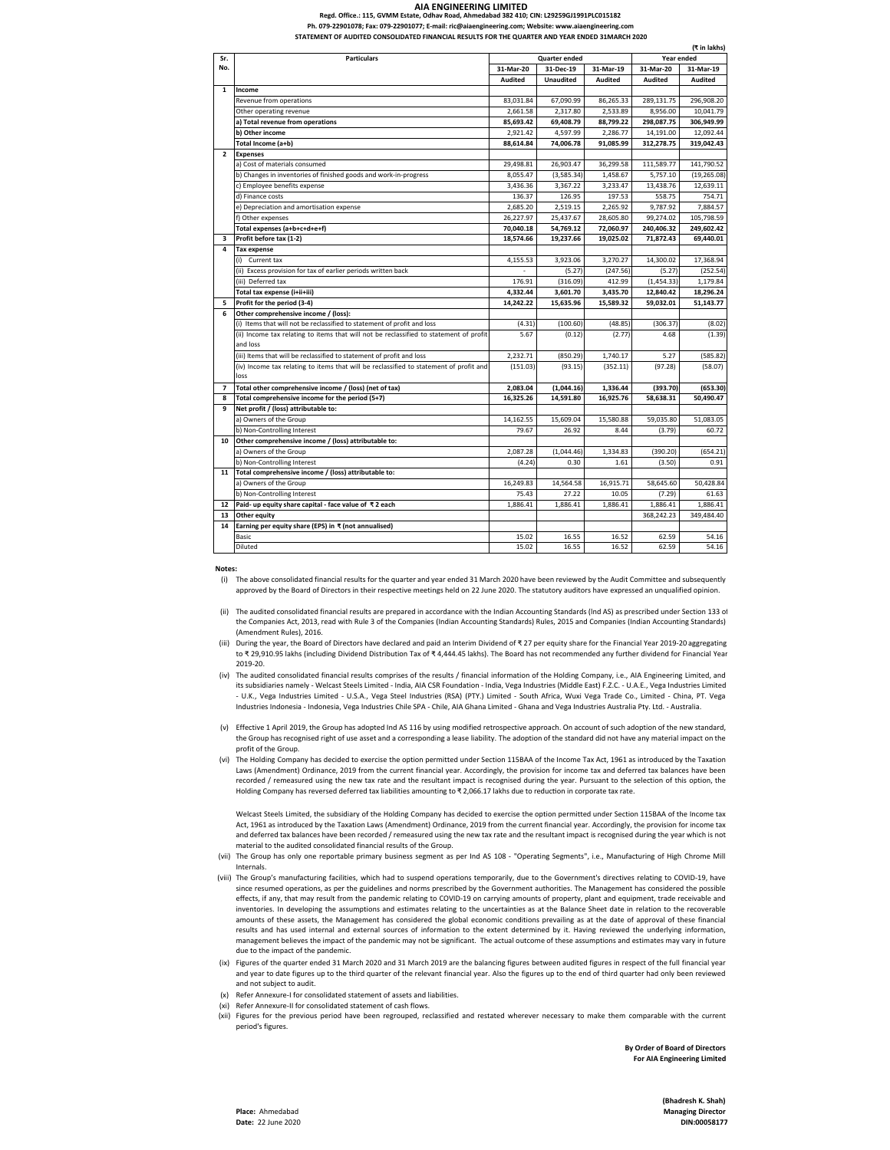## **Regd. Office.: 115, GVMM Estate, Odhav Road, Ahmedabad 382 410; CIN: L29259GJ1991PLC015182**

Ph. 079-22901078; Fax: 079-22901077; E-mail: ric@aiaengineering.com; Website: www.aiaengin**e** 

**STATEMENT OF AUDITED CONSOLIDATED FINANCIAL RESULTS FOR THE QUARTER AND YEAR ENDED 31MARCH 2020**

|                | (₹ in lakhs)                                                                                   |                                    |                  |           |                |              |
|----------------|------------------------------------------------------------------------------------------------|------------------------------------|------------------|-----------|----------------|--------------|
| Sr.            | <b>Particulars</b>                                                                             | Year ended<br><b>Quarter ended</b> |                  |           |                |              |
| No.            |                                                                                                | 31-Mar-20                          | 31-Dec-19        | 31-Mar-19 | 31-Mar-20      | 31-Mar-19    |
|                |                                                                                                | Audited                            | <b>Unaudited</b> | Audited   | <b>Audited</b> | Audited      |
| $\mathbf{1}$   | Income                                                                                         |                                    |                  |           |                |              |
|                | Revenue from operations                                                                        | 83.031.84                          | 67.090.99        | 86,265.33 | 289,131.75     | 296,908.20   |
|                | Other operating revenue                                                                        | 2,661.58                           | 2,317.80         | 2,533.89  | 8,956.00       | 10,041.79    |
|                | a) Total revenue from operations                                                               | 85,693.42                          | 69,408.79        | 88.799.22 | 298,087.75     | 306,949.99   |
|                | b) Other income                                                                                | 2,921.42                           | 4,597.99         | 2,286.77  | 14,191.00      | 12,092.44    |
|                | Total Income (a+b)                                                                             | 88.614.84                          | 74.006.78        | 91.085.99 | 312,278.75     | 319,042.43   |
| $\overline{2}$ | <b>Expenses</b>                                                                                |                                    |                  |           |                |              |
|                | a) Cost of materials consumed                                                                  | 29,498.81                          | 26,903.47        | 36,299.58 | 111,589.77     | 141,790.52   |
|                | b) Changes in inventories of finished goods and work-in-progress                               | 8,055.47                           | (3,585.34)       | 1,458.67  | 5,757.10       | (19, 265.08) |
|                | c) Employee benefits expense                                                                   | 3,436.36                           | 3,367.22         | 3,233.47  | 13,438.76      | 12,639.11    |
|                | d) Finance costs                                                                               | 136.37                             | 126.95           | 197.53    | 558.75         | 754.71       |
|                | e) Depreciation and amortisation expense                                                       | 2,685.20                           | 2,519.15         | 2,265.92  | 9,787.92       | 7,884.57     |
|                | f) Other expenses                                                                              | 26,227.97                          | 25,437.67        | 28,605.80 | 99,274.02      | 105,798.59   |
|                | Total expenses (a+b+c+d+e+f)                                                                   | 70,040.18                          | 54,769.12        | 72,060.97 | 240,406.32     | 249,602.42   |
| 3              | Profit before tax (1-2)                                                                        | 18.574.66                          | 19.237.66        | 19,025.02 | 71.872.43      | 69,440.01    |
| 4              | <b>Tax expense</b>                                                                             |                                    |                  |           |                |              |
|                | (i) Current tax                                                                                | 4,155.53                           | 3,923.06         | 3,270.27  | 14,300.02      | 17,368.94    |
|                | (ii) Excess provision for tax of earlier periods written back                                  |                                    | (5.27)           | (247.56)  | (5.27)         | (252.54)     |
|                | (iii) Deferred tax                                                                             | 176.91                             | (316.09)         | 412.99    | (1,454.33)     | 1,179.84     |
|                | Total tax expense (i+ii+iii)                                                                   | 4,332.44                           | 3,601.70         | 3,435.70  | 12,840.42      | 18,296.24    |
| 5              | Profit for the period (3-4)                                                                    | 14,242.22                          | 15,635.96        | 15,589.32 | 59,032.01      | 51,143.77    |
| 6              | Other comprehensive income / (loss):                                                           |                                    |                  |           |                |              |
|                | (i) Items that will not be reclassified to statement of profit and loss                        | (4.31)                             | (100.60)         | (48.85)   | (306.37)       | (8.02)       |
|                | (ii) Income tax relating to items that will not be reclassified to statement of profit         | 5.67                               | (0.12)           | (2.77)    | 4.68           | (1.39)       |
|                | and loss                                                                                       |                                    |                  |           |                |              |
|                | (iii) Items that will be reclassified to statement of profit and loss                          | 2,232.71                           | (850.29)         | 1,740.17  | 5.27           | (585.82)     |
|                | (iv) Income tax relating to items that will be reclassified to statement of profit and<br>loss | (151.03)                           | (93.15)          | (352.11)  | (97.28)        | (58.07)      |
| $\overline{ }$ | Total other comprehensive income / (loss) (net of tax)                                         | 2.083.04                           | (1,044.16)       | 1.336.44  | (393.70)       | (653.30)     |
| 8              | Total comprehensive income for the period (5+7)                                                | 16,325.26                          | 14,591.80        | 16,925.76 | 58,638.31      | 50,490.47    |
| 9              | Net profit / (loss) attributable to:                                                           |                                    |                  |           |                |              |
|                | a) Owners of the Group                                                                         | 14,162.55                          | 15,609.04        | 15,580.88 | 59,035.80      | 51,083.05    |
|                | b) Non-Controlling Interest                                                                    | 79.67                              | 26.92            | 8.44      | (3.79)         | 60.72        |
| 10             | Other comprehensive income / (loss) attributable to:                                           |                                    |                  |           |                |              |
|                | a) Owners of the Group                                                                         | 2.087.28                           | (1,044.46)       | 1.334.83  | (390.20)       | (654.21)     |
|                | b) Non-Controlling Interest                                                                    | (4.24)                             | 0.30             | 1.61      | (3.50)         | 0.91         |
| 11             | Total comprehensive income / (loss) attributable to:                                           |                                    |                  |           |                |              |
|                | a) Owners of the Group                                                                         | 16,249.83                          | 14,564.58        | 16,915.71 | 58,645.60      | 50,428.84    |
|                | b) Non-Controlling Interest                                                                    | 75.43                              | 27.22            | 10.05     | (7.29)         | 61.63        |
| 12             | Paid- up equity share capital - face value of ₹2 each                                          | 1.886.41                           | 1,886.41         | 1,886.41  | 1,886.41       | 1,886.41     |
| 13             | Other equity                                                                                   |                                    |                  |           | 368.242.23     | 349.484.40   |
| 14             | Earning per equity share (EPS) in ₹ (not annualised)                                           |                                    |                  |           |                |              |
|                | <b>Basic</b>                                                                                   | 15.02                              | 16.55            | 16.52     | 62.59          | 54.16        |
|                | Diluted                                                                                        | 15.02                              | 16.55            | 16.52     | 62.59          | 54.16        |

**Notes:**

- (i) The above consolidated financial results for the quarter and year ended 31 March 2020 have been reviewed by the Audit Committee and subsequently approved by the Board of Directors in their respective meetings held on 22 June 2020. The statutory auditors have expressed an unqualified opinion.
- (ii) The audited consolidated financial results are prepared in accordance with the Indian Accounting Standards (lnd AS) as prescribed under Section 133 of the Companies Act, 2013, read with Rule 3 of the Companies (Indian Accounting Standards) Rules, 2015 and Companies (Indian Accounting Standards) (Amendment Rules), 2016.
- (iii) During the year, the Board of Directors have declared and paid an Interim Dividend of ₹27 per equity share for the Financial Year 2019-20 aggregating to ₹ 29,910.95 lakhs (including Dividend Distribution Tax of ₹ 4,444.45 lakhs). The Board has not recommended any further dividend for Financial Year 2019-20.
- (iv) The audited consolidated financial results comprises of the results / financial information of the Holding Company, i.e., AIA Engineering Limited, and its subsidiaries namely - Welcast Steels Limited - India, AIA CSR Foundation - India, Vega Industries (Middle East) F.Z.C. - U.A.E., Vega Industries Limited - U.K., Vega Industries Limited - U.S.A., Vega Steel Industries (RSA) (PTY.) Limited - South Africa, Wuxi Vega Trade Co., Limited - China, PT. Vega Industries Indonesia - Indonesia, Vega Industries Chile SPA - Chile, AIA Ghana Limited - Ghana and Vega Industries Australia Pty. Ltd. - Australia.
- (v) Effective 1 April 2019, the Group has adopted Ind AS 116 by using modified retrospective approach. On account of such adoption of the new standard, the Group has recognised right of use asset and a corresponding a lease liability. The adoption of the standard did not have any material impact on the profit of the Group.
- The Holding Company has decided to exercise the option permitted under Section 115BAA of the Income Tax Act, 1961 as introduced by the Taxation Laws (Amendment) Ordinance, 2019 from the current financial year. Accordingly, the provision for income tax and deferred tax balances have been recorded / remeasured using the new tax rate and the resultant impact is recognised during the year. Pursuant to the selection of this option, the Holding Company has reversed deferred tax liabilities amounting to  $\overline{x}$  2,066.17 lakhs due to reduction in corporate tax rate. (vi)

Welcast Steels Limited, the subsidiary of the Holding Company has decided to exercise the option permitted under Section 115BAA of the Income tax Act, 1961 as introduced by the Taxation Laws (Amendment) Ordinance, 2019 from the current financial year. Accordingly, the provision for income tax and deferred tax balances have been recorded / remeasured using the new tax rate and the resultant impact is recognised during the year which is not material to the audited consolidated financial results of the Group.

- (vii) The Group has only one reportable primary business segment as per Ind AS 108 "Operating Segments", i.e., Manufacturing of High Chrome Mill Internals.
- (viii) The Group's manufacturing facilities, which had to suspend operations temporarily, due to the Government's directives relating to COVID-19, have since resumed operations, as per the guidelines and norms prescribed by the Government authorities. The Management has considered the possible effects, if any, that may result from the pandemic relating to COVID-19 on carrying amounts of property, plant and equipment, trade receivable and inventories. In developing the assumptions and estimates relating to the uncertainties as at the Balance Sheet date in relation to the recoverable amounts of these assets, the Management has considered the global economic conditions prevailing as at the date of approval of these financial results and has used internal and external sources of information to the extent determined by it. Having reviewed the underlying information, management believes the impact of the pandemic may not be significant. The actual outcome of these assumptions and estimates may vary in future due to the impact of the pandemic.
- (ix) Figures of the quarter ended 31 March 2020 and 31 March 2019 are the balancing figures between audited figures in respect of the full financial year and year to date figures up to the third quarter of the relevant financial year. Also the figures up to the end of third quarter had only been reviewed and not subject to audit.
- (x) Refer Annexure-I for consolidated statement of assets and liabilities.
- (xi) Refer Annexure-II for consolidated statement of cash flows.
- (xii) Figures for the previous period have been regrouped, reclassified and restated wherever necessary to make them comparable with the current period's figures.

**By Order of Board of Directors For AIA Engineering Limited**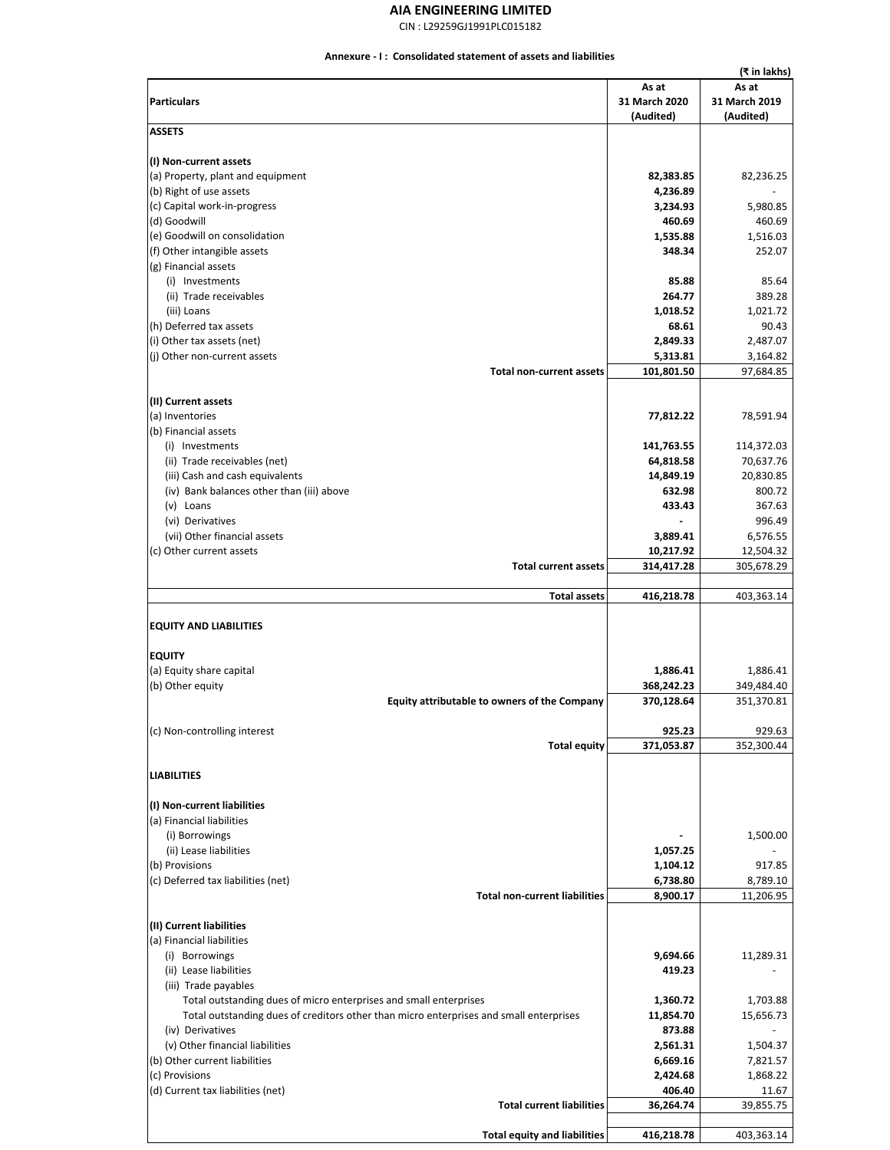CIN : L29259GJ1991PLC015182

### **Annexure - I : Consolidated statement of assets and liabilities**

|                                                                                        |               | (₹ in lakhs)  |
|----------------------------------------------------------------------------------------|---------------|---------------|
|                                                                                        | As at         | As at         |
| <b>Particulars</b>                                                                     | 31 March 2020 | 31 March 2019 |
|                                                                                        | (Audited)     | (Audited)     |
| <b>ASSETS</b>                                                                          |               |               |
| (I) Non-current assets                                                                 |               |               |
| (a) Property, plant and equipment                                                      | 82,383.85     | 82,236.25     |
| (b) Right of use assets                                                                | 4,236.89      |               |
| (c) Capital work-in-progress                                                           | 3,234.93      | 5,980.85      |
|                                                                                        |               |               |
| (d) Goodwill                                                                           | 460.69        | 460.69        |
| (e) Goodwill on consolidation                                                          | 1,535.88      | 1,516.03      |
| (f) Other intangible assets                                                            | 348.34        | 252.07        |
| (g) Financial assets                                                                   |               |               |
| (i) Investments                                                                        | 85.88         | 85.64         |
| (ii) Trade receivables                                                                 | 264.77        | 389.28        |
| (iii) Loans                                                                            | 1,018.52      | 1,021.72      |
| (h) Deferred tax assets                                                                | 68.61         | 90.43         |
| (i) Other tax assets (net)                                                             | 2,849.33      | 2,487.07      |
| (j) Other non-current assets                                                           | 5,313.81      | 3,164.82      |
| <b>Total non-current assets</b>                                                        | 101,801.50    | 97,684.85     |
|                                                                                        |               |               |
| (II) Current assets                                                                    |               |               |
| (a) Inventories                                                                        | 77,812.22     | 78,591.94     |
| (b) Financial assets                                                                   |               |               |
| (i) Investments                                                                        | 141,763.55    | 114,372.03    |
| (ii) Trade receivables (net)                                                           |               | 70,637.76     |
|                                                                                        | 64,818.58     |               |
| (iii) Cash and cash equivalents                                                        | 14,849.19     | 20,830.85     |
| (iv) Bank balances other than (iii) above                                              | 632.98        | 800.72        |
| (v) Loans                                                                              | 433.43        | 367.63        |
| (vi) Derivatives                                                                       |               | 996.49        |
| (vii) Other financial assets                                                           | 3,889.41      | 6,576.55      |
| (c) Other current assets                                                               | 10,217.92     | 12,504.32     |
| <b>Total current assets</b>                                                            | 314,417.28    | 305,678.29    |
|                                                                                        |               |               |
| <b>Total assets</b>                                                                    | 416,218.78    | 403,363.14    |
| <b>EQUITY AND LIABILITIES</b><br><b>EQUITY</b><br>(a) Equity share capital             | 1,886.41      | 1,886.41      |
| (b) Other equity                                                                       | 368,242.23    | 349,484.40    |
| Equity attributable to owners of the Company                                           | 370,128.64    | 351,370.81    |
|                                                                                        |               |               |
| (c) Non-controlling interest                                                           | 925.23        | 929.63        |
| <b>Total equity</b>                                                                    | 371,053.87    | 352,300.44    |
|                                                                                        |               |               |
| <b>LIABILITIES</b>                                                                     |               |               |
|                                                                                        |               |               |
| (I) Non-current liabilities                                                            |               |               |
| (a) Financial liabilities                                                              |               |               |
| (i) Borrowings                                                                         |               | 1,500.00      |
| (ii) Lease liabilities                                                                 | 1,057.25      |               |
| (b) Provisions                                                                         | 1,104.12      | 917.85        |
| (c) Deferred tax liabilities (net)                                                     | 6,738.80      | 8,789.10      |
| <b>Total non-current liabilities</b>                                                   | 8,900.17      | 11,206.95     |
|                                                                                        |               |               |
| (II) Current liabilities                                                               |               |               |
| (a) Financial liabilities                                                              |               |               |
| (i) Borrowings                                                                         | 9,694.66      | 11,289.31     |
| (ii) Lease liabilities                                                                 | 419.23        |               |
| (iii) Trade payables                                                                   |               |               |
| Total outstanding dues of micro enterprises and small enterprises                      | 1,360.72      | 1,703.88      |
| Total outstanding dues of creditors other than micro enterprises and small enterprises | 11,854.70     | 15,656.73     |
| (iv) Derivatives                                                                       | 873.88        |               |
|                                                                                        |               |               |
| (v) Other financial liabilities                                                        | 2,561.31      | 1,504.37      |
| (b) Other current liabilities                                                          | 6,669.16      | 7,821.57      |
| (c) Provisions                                                                         | 2,424.68      | 1,868.22      |
| (d) Current tax liabilities (net)                                                      | 406.40        | 11.67         |
| <b>Total current liabilities</b>                                                       | 36,264.74     | 39,855.75     |
|                                                                                        |               |               |
| <b>Total equity and liabilities</b>                                                    | 416,218.78    | 403,363.14    |